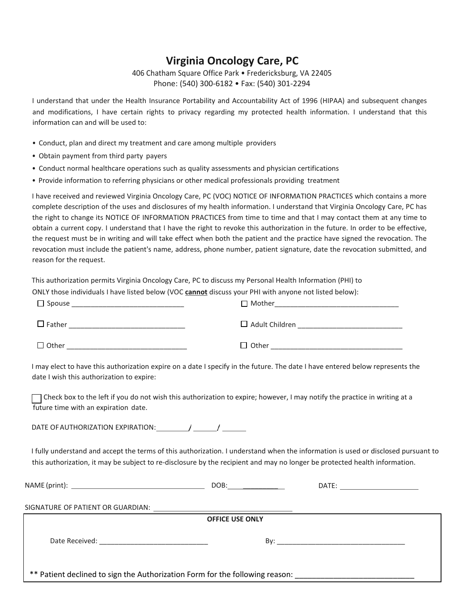406 Chatham Square Office Park • Fredericksburg, VA 22405 Phone: (540) 300-6182 • Fax: (540) 301-2294

I understand that under the Health Insurance Portability and Accountability Act of 1996 (HIPAA) and subsequent changes and modifications, I have certain rights to privacy regarding my protected health information. I understand that this information can and will be used to:

- Conduct, plan and direct my treatment and care among multiple providers
- Obtain payment from third party payers
- Conduct normal healthcare operations such as quality assessments and physician certifications
- Provide information to referring physicians or other medical professionals providing treatment

I have received and reviewed Virginia Oncology Care, PC (VOC) NOTICE OF INFORMATION PRACTICES which contains a more complete description of the uses and disclosures of my health information. I understand that Virginia Oncology Care, PC has the right to change its NOTICE OF INFORMATION PRACTICES from time to time and that I may contact them at any time to obtain a current copy. I understand that I have the right to revoke this authorization in the future. In order to be effective, the request must be in writing and will take effect when both the patient and the practice have signed the revocation. The revocation must include the patient's name, address, phone number, patient signature, date the revocation submitted, and reason for the request.

This authorization permits Virginia Oncology Care, PC to discuss my Personal Health Information (PHI) to ONLY those individuals I have listed below (VOC **cannot** discuss your PHI with anyone not listed below):

| $\Box$ Spouse | $\Box$ Mother         |
|---------------|-----------------------|
| $\Box$ Father | $\Box$ Adult Children |
| $\Box$ Other  | $\Box$ Other          |

I may elect to have this authorization expire on a date I specify in the future. The date I have entered below represents the date I wish this authorization to expire:

 $\Box$  Check box to the left if you do not wish this authorization to expire; however, I may notify the practice in writing at a future time with an expiration date.

DATE OF AUTHORIZATION EXPIRATION:  $\sqrt{2}$ 

I fully understand and accept the terms of this authorization. I understand when the information is used or disclosed pursuant to this authorization, it may be subject to re-disclosure by the recipient and may no longer be protected health information.

|                                                                              | DOB:_________________  |  |
|------------------------------------------------------------------------------|------------------------|--|
|                                                                              |                        |  |
|                                                                              |                        |  |
|                                                                              | <b>OFFICE USE ONLY</b> |  |
|                                                                              |                        |  |
| ** Patient declined to sign the Authorization Form for the following reason: |                        |  |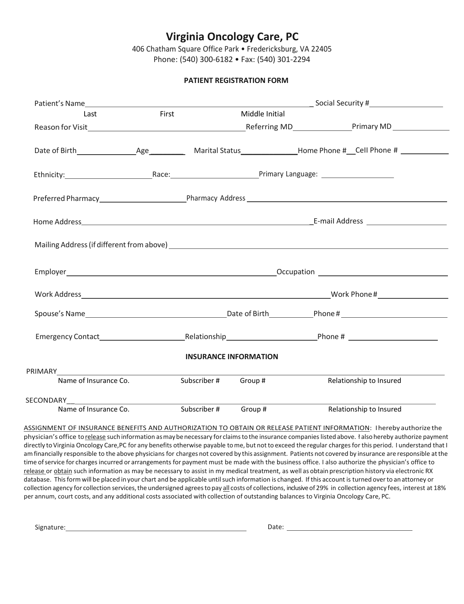406 Chatham Square Office Park • Fredericksburg, VA 22405 Phone: (540) 300-6182 • Fax: (540) 301-2294

### **PATIENT REGISTRATION FORM**

| Last                  | First |                      | Middle Initial               |                                                                                                                                                                                                                                |
|-----------------------|-------|----------------------|------------------------------|--------------------------------------------------------------------------------------------------------------------------------------------------------------------------------------------------------------------------------|
|                       |       |                      |                              |                                                                                                                                                                                                                                |
|                       |       |                      |                              |                                                                                                                                                                                                                                |
|                       |       |                      |                              | Ethnicity: The Race: Race: Race: Primary Language: 2006. [2016] Manager: 2016. [2016] Manager: 2016. [2016] Manager: 2016. [2016] Manager: 2016. [2016] Manager: 2016. [2016] Manager: 2016. [2016] Manager: 2016. [2016] Mana |
|                       |       |                      |                              |                                                                                                                                                                                                                                |
|                       |       |                      |                              |                                                                                                                                                                                                                                |
|                       |       |                      |                              |                                                                                                                                                                                                                                |
|                       |       |                      |                              |                                                                                                                                                                                                                                |
|                       |       |                      |                              |                                                                                                                                                                                                                                |
|                       |       |                      |                              |                                                                                                                                                                                                                                |
|                       |       |                      |                              |                                                                                                                                                                                                                                |
|                       |       |                      | <b>INSURANCE INFORMATION</b> |                                                                                                                                                                                                                                |
| PRIMARY PRIMARY       |       |                      |                              |                                                                                                                                                                                                                                |
| Name of Insurance Co. |       | Subscriber # Group # |                              | Relationship to Insured                                                                                                                                                                                                        |
|                       |       |                      |                              |                                                                                                                                                                                                                                |

ASSIGNMENT OF INSURANCE BENEFITS AND AUTHORIZATION TO OBTAIN OR RELEASE PATIENT INFORMATION: Ihereby authorize the physician's office to release suchinformation asmaybenecessary for claimsto the insurance companieslistedabove. ł also hereby authorize payment directly to Virginia Oncology Care,PC for any benefits otherwise payable to me, but not to exceed the regular charges for this period. I understand that I amfinancially responsible to the above physicians for charges not covered by this assignment. Patients not covered by insurance are responsible atthe time ofservice for charges incurred or arrangements for payment must be made with the business office. I also authorize the physician's office to release or obtain such information as may be necessary to assist in my medical treatment, as well as obtain prescription history via electronic RX database. Thisformwill be placed inyour chart and be applicable untilsuch information is changed. If this account is turned overto anattorney or collection agency for collection services, the undersigned agrees to pay all costs of collections, inclusive of 29% in collection agency fees, interest at 18% per annum, court costs, and any additional costs associated with collection of outstanding balances to Virginia Oncology Care, PC.

Signature: Date: Date: Date: Date: Date: Date: Date: Date: Date: Date: Date: Date: Date: Date: Date: Date: Date: Date: Date: Date: Date: Date: Date: Date: Date: Date: Date: Date: Date: Date: Date: Date: Date: Date: Date: D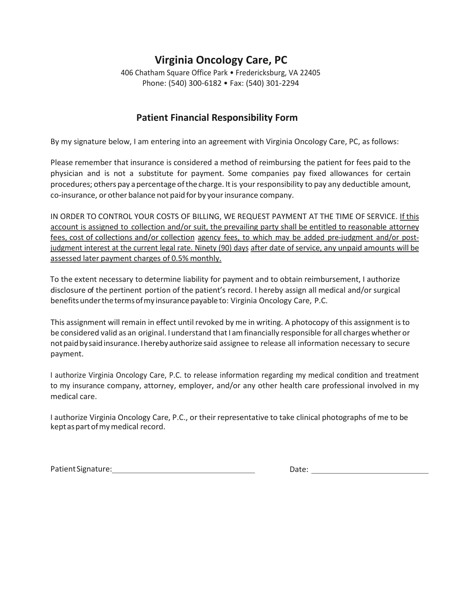406 Chatham Square Office Park • Fredericksburg, VA 22405 Phone: (540) 300-6182 • Fax: (540) 301-2294

## **Patient Financial Responsibility Form**

By my signature below, I am entering into an agreement with Virginia Oncology Care, PC, as follows:

Please remember that insurance is considered a method of reimbursing the patient for fees paid to the physician and is not a substitute for payment. Some companies pay fixed allowances for certain procedures; others pay apercentage ofthe charge. Itis your responsibility to pay any deductible amount, co-insurance, or other balance not paid for by your insurance company.

IN ORDER TO CONTROL YOUR COSTS OF BILLING, WE REQUEST PAYMENT AT THE TIME OF SERVICE. If this account is assigned to collection and/or suit, the prevailing party shall be entitled to reasonable attorney fees, cost of collections and/or collection agency fees, to which may be added pre-judgment and/or postjudgment interest at the current legal rate. Ninety (90) days after date of service, any unpaid amounts will be assessed later payment charges of 0.5% monthly.

To the extent necessary to determine liability for payment and to obtain reimbursement, I authorize disclosure of the pertinent portion of the patient's record. I hereby assign all medical and/or surgical benefits under the terms of my insurance payable to: Virginia Oncology Care, P.C.

This assignment will remain in effect until revoked by me in writing. A photocopy of this assignment isto be considered valid as an original. I understand that I am financially responsible for all charges whether or notpaidbysaidinsurance.Ihereby authorize said assignee to release all information necessary to secure payment.

I authorize Virginia Oncology Care, P.C. to release information regarding my medical condition and treatment to my insurance company, attorney, employer, and/or any other health care professional involved in my medical care.

I authorize Virginia Oncology Care, P.C., or their representative to take clinical photographs of me to be keptaspartofmymedical record.

PatientSignature: Date: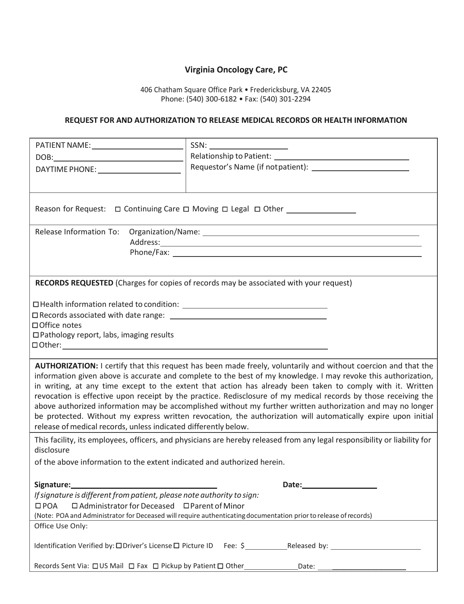406 Chatham Square Office Park • Fredericksburg, VA 22405 Phone: (540) 300-6182 • Fax: (540) 301-2294

### **REQUEST FOR AND AUTHORIZATION TO RELEASE MEDICAL RECORDS OR HEALTH INFORMATION**

| $SSN: \underline{\hspace{2.5cm}} \underline{\hspace{2.5cm}} \underline{\hspace{2.5cm}} \underline{\hspace{2.5cm}} \underline{\hspace{2.5cm}} \underline{\hspace{2.5cm}} \underline{\hspace{2.5cm}} \underline{\hspace{2.5cm}} \underline{\hspace{2.5cm}} \underline{\hspace{2.5cm}} \underline{\hspace{2.5cm}} \underline{\hspace{2.5cm}} \underline{\hspace{2.5cm}} \underline{\hspace{2.5cm}} \underline{\hspace{2.5cm}} \underline{\hspace{2.5cm}} \underline{\hspace{2.5cm}} \underline{\hspace{2.5cm}} \underline{\hspace{2.5cm}} \underline{\hspace{2.$<br>Reason for Request:  □ Continuing Care □ Moving □ Legal □ Other ________________<br>Release Information To:<br>RECORDS REQUESTED (Charges for copies of records may be associated with your request)<br>□ Office notes<br>$\Box$ Pathology report, labs, imaging results<br>AUTHORIZATION: I certify that this request has been made freely, voluntarily and without coercion and that the<br>information given above is accurate and complete to the best of my knowledge. I may revoke this authorization,<br>in writing, at any time except to the extent that action has already been taken to comply with it. Written<br>revocation is effective upon receipt by the practice. Redisclosure of my medical records by those receiving the<br>above authorized information may be accomplished without my further written authorization and may no longer<br>be protected. Without my express written revocation, the authorization will automatically expire upon initial<br>release of medical records, unless indicated differently below. |
|-------------------------------------------------------------------------------------------------------------------------------------------------------------------------------------------------------------------------------------------------------------------------------------------------------------------------------------------------------------------------------------------------------------------------------------------------------------------------------------------------------------------------------------------------------------------------------------------------------------------------------------------------------------------------------------------------------------------------------------------------------------------------------------------------------------------------------------------------------------------------------------------------------------------------------------------------------------------------------------------------------------------------------------------------------------------------------------------------------------------------------------------------------------------------------------------------------------------------------------------------------------------------------------------------------------------------------------------------------------------------------------------------------------------------------------------------------------------------------------------------------------------------------------------------------------------------------------------------------------------|
|                                                                                                                                                                                                                                                                                                                                                                                                                                                                                                                                                                                                                                                                                                                                                                                                                                                                                                                                                                                                                                                                                                                                                                                                                                                                                                                                                                                                                                                                                                                                                                                                                   |
|                                                                                                                                                                                                                                                                                                                                                                                                                                                                                                                                                                                                                                                                                                                                                                                                                                                                                                                                                                                                                                                                                                                                                                                                                                                                                                                                                                                                                                                                                                                                                                                                                   |
|                                                                                                                                                                                                                                                                                                                                                                                                                                                                                                                                                                                                                                                                                                                                                                                                                                                                                                                                                                                                                                                                                                                                                                                                                                                                                                                                                                                                                                                                                                                                                                                                                   |
|                                                                                                                                                                                                                                                                                                                                                                                                                                                                                                                                                                                                                                                                                                                                                                                                                                                                                                                                                                                                                                                                                                                                                                                                                                                                                                                                                                                                                                                                                                                                                                                                                   |
|                                                                                                                                                                                                                                                                                                                                                                                                                                                                                                                                                                                                                                                                                                                                                                                                                                                                                                                                                                                                                                                                                                                                                                                                                                                                                                                                                                                                                                                                                                                                                                                                                   |
|                                                                                                                                                                                                                                                                                                                                                                                                                                                                                                                                                                                                                                                                                                                                                                                                                                                                                                                                                                                                                                                                                                                                                                                                                                                                                                                                                                                                                                                                                                                                                                                                                   |
|                                                                                                                                                                                                                                                                                                                                                                                                                                                                                                                                                                                                                                                                                                                                                                                                                                                                                                                                                                                                                                                                                                                                                                                                                                                                                                                                                                                                                                                                                                                                                                                                                   |
|                                                                                                                                                                                                                                                                                                                                                                                                                                                                                                                                                                                                                                                                                                                                                                                                                                                                                                                                                                                                                                                                                                                                                                                                                                                                                                                                                                                                                                                                                                                                                                                                                   |
|                                                                                                                                                                                                                                                                                                                                                                                                                                                                                                                                                                                                                                                                                                                                                                                                                                                                                                                                                                                                                                                                                                                                                                                                                                                                                                                                                                                                                                                                                                                                                                                                                   |
|                                                                                                                                                                                                                                                                                                                                                                                                                                                                                                                                                                                                                                                                                                                                                                                                                                                                                                                                                                                                                                                                                                                                                                                                                                                                                                                                                                                                                                                                                                                                                                                                                   |
|                                                                                                                                                                                                                                                                                                                                                                                                                                                                                                                                                                                                                                                                                                                                                                                                                                                                                                                                                                                                                                                                                                                                                                                                                                                                                                                                                                                                                                                                                                                                                                                                                   |
|                                                                                                                                                                                                                                                                                                                                                                                                                                                                                                                                                                                                                                                                                                                                                                                                                                                                                                                                                                                                                                                                                                                                                                                                                                                                                                                                                                                                                                                                                                                                                                                                                   |
|                                                                                                                                                                                                                                                                                                                                                                                                                                                                                                                                                                                                                                                                                                                                                                                                                                                                                                                                                                                                                                                                                                                                                                                                                                                                                                                                                                                                                                                                                                                                                                                                                   |
|                                                                                                                                                                                                                                                                                                                                                                                                                                                                                                                                                                                                                                                                                                                                                                                                                                                                                                                                                                                                                                                                                                                                                                                                                                                                                                                                                                                                                                                                                                                                                                                                                   |
|                                                                                                                                                                                                                                                                                                                                                                                                                                                                                                                                                                                                                                                                                                                                                                                                                                                                                                                                                                                                                                                                                                                                                                                                                                                                                                                                                                                                                                                                                                                                                                                                                   |
| This facility, its employees, officers, and physicians are hereby released from any legal responsibility or liability for                                                                                                                                                                                                                                                                                                                                                                                                                                                                                                                                                                                                                                                                                                                                                                                                                                                                                                                                                                                                                                                                                                                                                                                                                                                                                                                                                                                                                                                                                         |
| disclosure                                                                                                                                                                                                                                                                                                                                                                                                                                                                                                                                                                                                                                                                                                                                                                                                                                                                                                                                                                                                                                                                                                                                                                                                                                                                                                                                                                                                                                                                                                                                                                                                        |
| of the above information to the extent indicated and authorized herein.                                                                                                                                                                                                                                                                                                                                                                                                                                                                                                                                                                                                                                                                                                                                                                                                                                                                                                                                                                                                                                                                                                                                                                                                                                                                                                                                                                                                                                                                                                                                           |
|                                                                                                                                                                                                                                                                                                                                                                                                                                                                                                                                                                                                                                                                                                                                                                                                                                                                                                                                                                                                                                                                                                                                                                                                                                                                                                                                                                                                                                                                                                                                                                                                                   |
| Signature:<br>Date:                                                                                                                                                                                                                                                                                                                                                                                                                                                                                                                                                                                                                                                                                                                                                                                                                                                                                                                                                                                                                                                                                                                                                                                                                                                                                                                                                                                                                                                                                                                                                                                               |
| If signature is different from patient, please note authority to sign:                                                                                                                                                                                                                                                                                                                                                                                                                                                                                                                                                                                                                                                                                                                                                                                                                                                                                                                                                                                                                                                                                                                                                                                                                                                                                                                                                                                                                                                                                                                                            |
| □ Administrator for Deceased □ Parent of Minor<br>$\Box$ POA                                                                                                                                                                                                                                                                                                                                                                                                                                                                                                                                                                                                                                                                                                                                                                                                                                                                                                                                                                                                                                                                                                                                                                                                                                                                                                                                                                                                                                                                                                                                                      |
| (Note: POA and Administrator for Deceased will require authenticating documentation prior to release of records)<br>Office Use Only:                                                                                                                                                                                                                                                                                                                                                                                                                                                                                                                                                                                                                                                                                                                                                                                                                                                                                                                                                                                                                                                                                                                                                                                                                                                                                                                                                                                                                                                                              |
|                                                                                                                                                                                                                                                                                                                                                                                                                                                                                                                                                                                                                                                                                                                                                                                                                                                                                                                                                                                                                                                                                                                                                                                                                                                                                                                                                                                                                                                                                                                                                                                                                   |
| Identification Verified by: $\Box$ Driver's License $\Box$ Picture ID Fee: $\zeta$ Released by:                                                                                                                                                                                                                                                                                                                                                                                                                                                                                                                                                                                                                                                                                                                                                                                                                                                                                                                                                                                                                                                                                                                                                                                                                                                                                                                                                                                                                                                                                                                   |
| Records Sent Via: □US Mail □ Fax □ Pickup by Patient □ Other___________________Date: ______________                                                                                                                                                                                                                                                                                                                                                                                                                                                                                                                                                                                                                                                                                                                                                                                                                                                                                                                                                                                                                                                                                                                                                                                                                                                                                                                                                                                                                                                                                                               |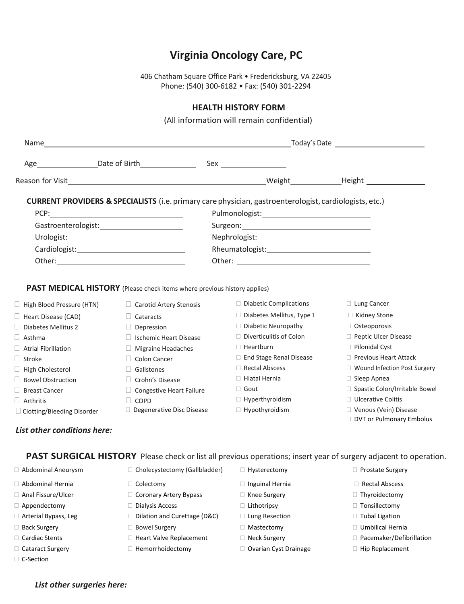406 Chatham Square Office Park • Fredericksburg, VA 22405 Phone: (540) 300-6182 • Fax: (540) 301-2294

### **HEALTH HISTORY FORM**

(All information will remain confidential)

|                              |                                                                          | <b>CURRENT PROVIDERS &amp; SPECIALISTS</b> (i.e. primary care physician, gastroenterologist, cardiologists, etc.)        |                                                     |  |
|------------------------------|--------------------------------------------------------------------------|--------------------------------------------------------------------------------------------------------------------------|-----------------------------------------------------|--|
| PCP:                         |                                                                          |                                                                                                                          |                                                     |  |
|                              | Gastroenterologist: National Castroenterologist:                         |                                                                                                                          |                                                     |  |
|                              |                                                                          |                                                                                                                          |                                                     |  |
|                              |                                                                          |                                                                                                                          |                                                     |  |
|                              |                                                                          |                                                                                                                          |                                                     |  |
|                              |                                                                          |                                                                                                                          |                                                     |  |
|                              |                                                                          |                                                                                                                          |                                                     |  |
|                              | PAST MEDICAL HISTORY (Please check items where previous history applies) |                                                                                                                          |                                                     |  |
| High Blood Pressure (HTN)    | $\Box$ Carotid Artery Stenosis                                           | $\Box$ Diabetic Complications                                                                                            | $\Box$ Lung Cancer                                  |  |
| Heart Disease (CAD)          | $\Box$ Cataracts                                                         | $\Box$ Diabetes Mellitus, Type 1                                                                                         | $\Box$ Kidney Stone                                 |  |
| $\Box$ Diabetes Mellitus 2   | $\Box$ Depression                                                        | $\Box$ Diabetic Neuropathy                                                                                               | □ Osteoporosis                                      |  |
| $\Box$ Asthma                | $\Box$ Ischemic Heart Disease                                            | $\Box$ Diverticulitis of Colon                                                                                           | Peptic Ulcer Disease                                |  |
| $\Box$ Atrial Fibrillation   | $\Box$ Migraine Headaches                                                | $\Box$ Heartburn                                                                                                         | $\Box$ Pilonidal Cyst                               |  |
| $\Box$ Stroke                | $\Box$ Colon Cancer                                                      | $\Box$ End Stage Renal Disease                                                                                           | □ Previous Heart Attack                             |  |
| $\Box$ High Cholesterol      | $\Box$ Gallstones                                                        | Rectal Abscess                                                                                                           | □ Wound Infection Post Surgery                      |  |
| Bowel Obstruction            | $\Box$ Crohn's Disease                                                   | □ Hiatal Hernia                                                                                                          | $\Box$ Sleep Apnea                                  |  |
| $\Box$ Breast Cancer         | □ Congestive Heart Failure                                               | $\Box$ Gout                                                                                                              | □ Spastic Colon/Irritable Bowel                     |  |
| $\Box$ Arthritis             | $\Box$ COPD                                                              | □ Hyperthyroidism                                                                                                        | $\Box$ Ulcerative Colitis                           |  |
| □ Clotting/Bleeding Disorder | Degenerative Disc Disease                                                | □ Hypothyroidism                                                                                                         | □ Venous (Vein) Disease<br>DVT or Pulmonary Embolus |  |
| List other conditions here:  |                                                                          |                                                                                                                          |                                                     |  |
|                              |                                                                          | <b>PAST SURGICAL HISTORY</b> Please check or list all previous operations; insert year of surgery adjacent to operation. |                                                     |  |
| Abdominal Aneurysm           | $\Box$ Cholecystectomy (Gallbladder)                                     | $\Box$ Hysterectomy                                                                                                      | $\Box$ Prostate Surgery                             |  |
| □ Abdominal Hernia           | $\Box$ Colectomy                                                         | $\Box$ Inguinal Hernia                                                                                                   | Rectal Abscess                                      |  |
| □ Anal Fissure/Ulcer         | □ Coronary Artery Bypass                                                 | $\Box$ Knee Surgery                                                                                                      | □ Thyroidectomy                                     |  |
| □ Appendectomy               | $\Box$ Dialysis Access                                                   | $\Box$ Lithotripsy                                                                                                       | $\Box$ Tonsillectomy                                |  |
| Arterial Bypass, Leg         | □ Dilation and Curettage (D&C)                                           | □ Lung Resection                                                                                                         | □ Tubal Ligation                                    |  |

- 
- 
- 
- □ C-Section
	- *List other surgeries here:*
- □ Back Surgery D Bowel Surgery D Mastectomy D Mastectomy D Umbilical Hernia
	-
	-
- 
- 
- 
- □ Cardiac Stents 
→ D Heart Valve Replacement 
→ Neck Surgery → D Pacemaker/Defibrillation
	-
- 
- 
- 
- 
- 
- 
- 
- 
- 
- 
- 
- 
- □ Cataract Surgery Themorrhoidectomy Democratic Devarian Cyst Drainage Democratic Deplacement
- 
- 
- 
- 
- 
- 
- 
- 
- 
- 
- -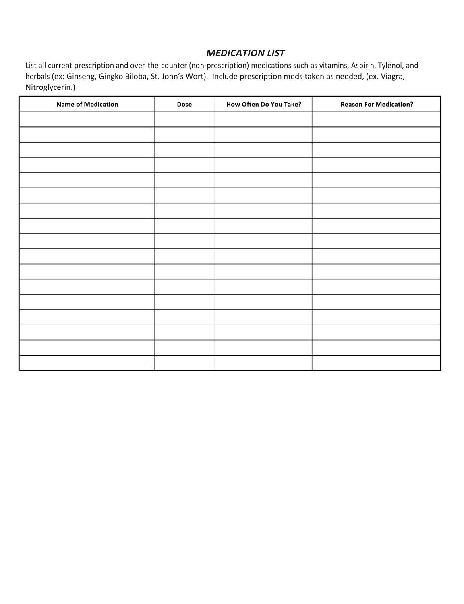### *MEDICATION LIST*

List all current prescription and over-the-counter (non-prescription) medications such as vitamins, Aspirin, Tylenol, and herbals (ex: Ginseng, Gingko Biloba, St. John's Wort). Include prescription meds taken as needed, (ex. Viagra, Nitroglycerin.)

| <b>Name of Medication</b> | <b>Dose</b> | How Often Do You Take? | <b>Reason For Medication?</b> |
|---------------------------|-------------|------------------------|-------------------------------|
|                           |             |                        |                               |
|                           |             |                        |                               |
|                           |             |                        |                               |
|                           |             |                        |                               |
|                           |             |                        |                               |
|                           |             |                        |                               |
|                           |             |                        |                               |
|                           |             |                        |                               |
|                           |             |                        |                               |
|                           |             |                        |                               |
|                           |             |                        |                               |
|                           |             |                        |                               |
|                           |             |                        |                               |
|                           |             |                        |                               |
|                           |             |                        |                               |
|                           |             |                        |                               |
|                           |             |                        |                               |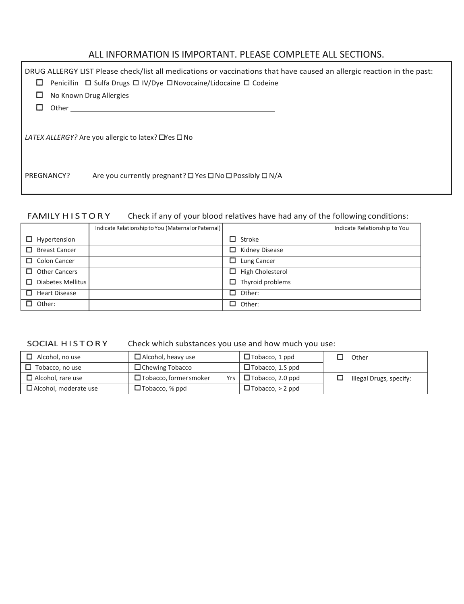# ALL INFORMATION IS IMPORTANT. PLEASE COMPLETE ALL SECTIONS.

| ப          | DRUG ALLERGY LIST Please check/list all medications or vaccinations that have caused an allergic reaction in the past:<br>Penicillin □ Sulfa Drugs □ IV/Dye □ Novocaine/Lidocaine □ Codeine |
|------------|---------------------------------------------------------------------------------------------------------------------------------------------------------------------------------------------|
|            | No Known Drug Allergies                                                                                                                                                                     |
| Other      |                                                                                                                                                                                             |
|            | LATEX ALLERGY? Are you allergic to latex? $\Box$ Yes $\Box$ No                                                                                                                              |
| PREGNANCY? | Are you currently pregnant? □ Yes □ No □ Possibly □ N/A                                                                                                                                     |

### FAMILY HISTORY Check if any of your blood relatives have had any of the following conditions:

|                           | Indicate Relationship to You (Maternal or Paternal) |                         | Indicate Relationship to You |
|---------------------------|-----------------------------------------------------|-------------------------|------------------------------|
| $\Box$ Hypertension       |                                                     | □<br>Stroke             |                              |
| □<br><b>Breast Cancer</b> |                                                     | □<br>Kidney Disease     |                              |
| $\Box$ Colon Cancer       |                                                     | Lung Cancer<br>□        |                              |
| $\Box$ Other Cancers      |                                                     | High Cholesterol<br>□   |                              |
| $\Box$ Diabetes Mellitus  |                                                     | $\Box$ Thyroid problems |                              |
| $\Box$ Heart Disease      |                                                     | $\Box$ Other:           |                              |
| $\Box$ Other:             |                                                     | П<br>Other:             |                              |

### SOCIAL HISTORY Check which substances you use and how much you use:

| Alcohol, no use          | $\Box$ Alcohol, heavy use            | $\Box$ Tobacco, 1 ppd      | Other                   |
|--------------------------|--------------------------------------|----------------------------|-------------------------|
| Tobacco, no use          | $\Box$ Chewing Tobacco               | $\square$ Tobacco, 1.5 ppd |                         |
| $\Box$ Alcohol, rare use | $\Box$ Tobacco, former smoker<br>Yrs | $\Box$ Tobacco, 2.0 ppd    | Illegal Drugs, specify: |
| Alcohol, moderate use    | $\square$ Tobacco, % ppd             | $\Box$ Tobacco, $>$ 2 ppd  |                         |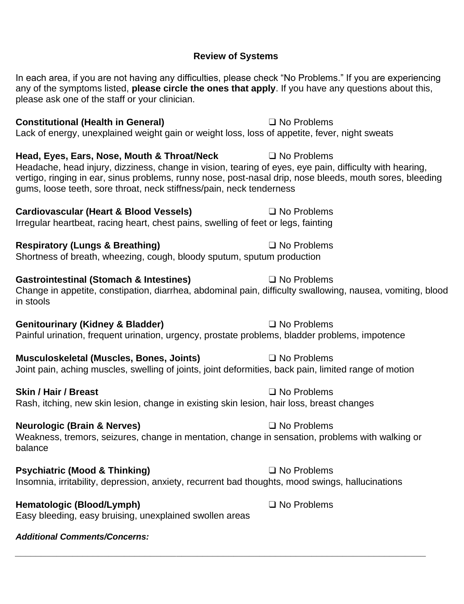## **Review of Systems**

In each area, if you are not having any difficulties, please check "No Problems." If you are experiencing any of the symptoms listed, **please circle the ones that apply**. If you have any questions about this, please ask one of the staff or your clinician.

### **Constitutional (Health in General)** ❑ No Problems

Lack of energy, unexplained weight gain or weight loss, loss of appetite, fever, night sweats

**Head, Eyes, Ears, Nose, Mouth & Throat/Neck** ❑ No Problems Headache, head injury, dizziness, change in vision, tearing of eyes, eye pain, difficulty with hearing, vertigo, ringing in ear, sinus problems, runny nose, post-nasal drip, nose bleeds, mouth sores, bleeding gums, loose teeth, sore throat, neck stiffness/pain, neck tenderness

**Cardiovascular (Heart & Blood Vessels)** ❑ No Problems Irregular heartbeat, racing heart, chest pains, swelling of feet or legs, fainting

**Respiratory (Lungs & Breathing)** ❑ No Problems Shortness of breath, wheezing, cough, bloody sputum, sputum production

### Gastrointestinal (Stomach & Intestines) △ △ No Problems

Change in appetite, constipation, diarrhea, abdominal pain, difficulty swallowing, nausea, vomiting, blood in stools

**Genitourinary (Kidney & Bladder)** ❑ No Problems

Painful urination, frequent urination, urgency, prostate problems, bladder problems, impotence

**Musculoskeletal (Muscles, Bones, Joints)** ❑ No Problems Joint pain, aching muscles, swelling of joints, joint deformities, back pain, limited range of motion

**Skin / Hair / Breast** ❑ No Problems

Rash, itching, new skin lesion, change in existing skin lesion, hair loss, breast changes

## **Neurologic (Brain & Nerves)** ❑ No Problems

Weakness, tremors, seizures, change in mentation, change in sensation, problems with walking or balance

*\_\_\_\_\_\_\_\_\_\_\_\_\_\_\_\_\_\_\_\_\_\_\_\_\_\_\_\_\_\_\_\_\_\_\_\_\_\_\_\_\_\_\_\_\_\_\_\_\_\_\_\_\_\_\_\_\_\_\_\_\_\_\_\_\_\_\_\_\_\_\_\_\_\_\_\_\_\_\_*

## **Psychiatric (Mood & Thinking)** ❑ No Problems

# Insomnia, irritability, depression, anxiety, recurrent bad thoughts, mood swings, hallucinations

**Hematologic (Blood/Lymph)** ❑ No Problems

Easy bleeding, easy bruising, unexplained swollen areas

# *Additional Comments/Concerns:*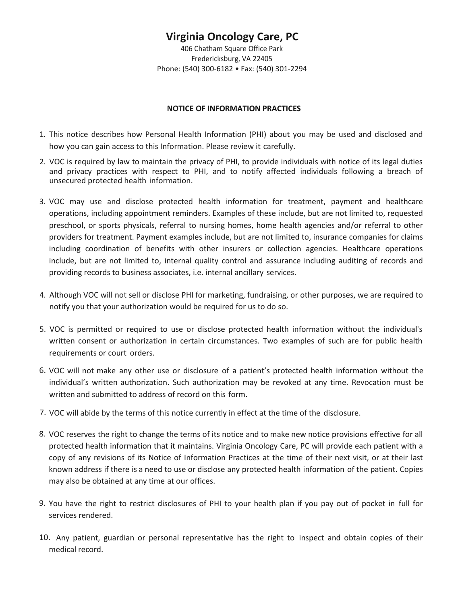406 Chatham Square Office Park Fredericksburg, VA 22405 Phone: (540) 300-6182 • Fax: (540) 301-2294

### **NOTICE OF INFORMATION PRACTICES**

- 1. This notice describes how Personal Health Information (PHI) about you may be used and disclosed and how you can gain access to this Information. Please review it carefully.
- 2. VOC is required by law to maintain the privacy of PHI, to provide individuals with notice of its legal duties and privacy practices with respect to PHI, and to notify affected individuals following a breach of unsecured protected health information.
- 3. VOC may use and disclose protected health information for treatment, payment and healthcare operations, including appointment reminders. Examples of these include, but are not limited to, requested preschool, or sports physicals, referral to nursing homes, home health agencies and/or referral to other providers for treatment. Payment examples include, but are not limited to, insurance companies for claims including coordination of benefits with other insurers or collection agencies. Healthcare operations include, but are not limited to, internal quality control and assurance including auditing of records and providing records to business associates, i.e. internal ancillary services.
- 4. Although VOC will not sell or disclose PHI for marketing, fundraising, or other purposes, we are required to notify you that your authorization would be required for us to do so.
- 5. VOC is permitted or required to use or disclose protected health information without the individual's written consent or authorization in certain circumstances. Two examples of such are for public health requirements or court orders.
- 6. VOC will not make any other use or disclosure of a patient's protected health information without the individual's written authorization. Such authorization may be revoked at any time. Revocation must be written and submitted to address of record on this form.
- 7. VOC will abide by the terms of this notice currently in effect at the time of the disclosure.
- 8. VOC reserves the right to change the terms of its notice and to make new notice provisions effective for all protected health information that it maintains. Virginia Oncology Care, PC will provide each patient with a copy of any revisions of its Notice of Information Practices at the time of their next visit, or at their last known address if there is a need to use or disclose any protected health information of the patient. Copies may also be obtained at any time at our offices.
- 9. You have the right to restrict disclosures of PHI to your health plan if you pay out of pocket in full for services rendered.
- 10. Any patient, guardian or personal representative has the right to inspect and obtain copies of their medical record.